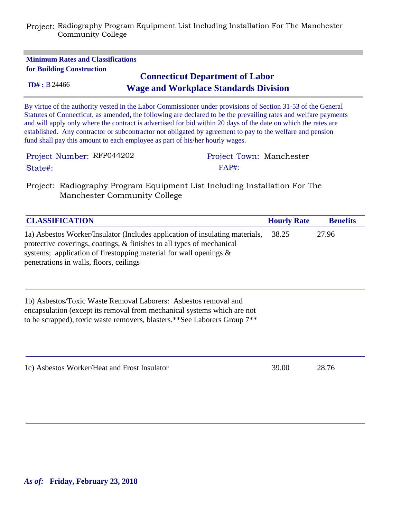| <b>Minimum Rates and Classifications</b><br>for Building Construction<br>ID# : B24466 | <b>Connecticut Department of Labor</b><br><b>Wage and Workplace Standards Division</b>                                                                                                                                                                                                                                                                                                                                                                         |
|---------------------------------------------------------------------------------------|----------------------------------------------------------------------------------------------------------------------------------------------------------------------------------------------------------------------------------------------------------------------------------------------------------------------------------------------------------------------------------------------------------------------------------------------------------------|
| fund shall pay this amount to each employee as part of his/her hourly wages.          | By virtue of the authority vested in the Labor Commissioner under provisions of Section 31-53 of the General<br>Statutes of Connecticut, as amended, the following are declared to be the prevailing rates and welfare payments<br>and will apply only where the contract is advertised for bid within 20 days of the date on which the rates are<br>established. Any contractor or subcontractor not obligated by agreement to pay to the welfare and pension |
| Project Number: RFP044202                                                             | Project Town: Manchester                                                                                                                                                                                                                                                                                                                                                                                                                                       |
| State#:                                                                               | FAP#                                                                                                                                                                                                                                                                                                                                                                                                                                                           |

Project: Radiography Program Equipment List Including Installation For The Manchester Community College

| <b>CLASSIFICATION</b>                                                                                                                                                                                                                                                 | <b>Hourly Rate</b> | <b>Benefits</b> |
|-----------------------------------------------------------------------------------------------------------------------------------------------------------------------------------------------------------------------------------------------------------------------|--------------------|-----------------|
| 1a) Asbestos Worker/Insulator (Includes application of insulating materials,<br>protective coverings, coatings, & finishes to all types of mechanical<br>systems; application of firestopping material for wall openings &<br>penetrations in walls, floors, ceilings | 38.25              | 27.96           |
| 1b) Asbestos/Toxic Waste Removal Laborers: Asbestos removal and<br>encapsulation (except its removal from mechanical systems which are not<br>to be scrapped), toxic waste removers, blasters.**See Laborers Group 7**                                                |                    |                 |
| 1c) Asbestos Worker/Heat and Frost Insulator                                                                                                                                                                                                                          | 39.00              | 28.76           |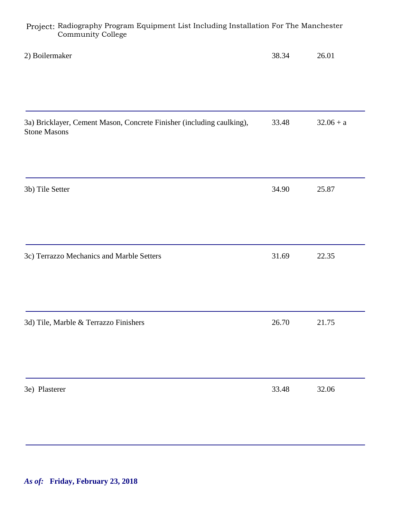| Troject, Radiography Program Dquipment mot including instantation For The Manenester<br>Community College |       |             |
|-----------------------------------------------------------------------------------------------------------|-------|-------------|
| 2) Boilermaker                                                                                            | 38.34 | 26.01       |
|                                                                                                           |       |             |
| 3a) Bricklayer, Cement Mason, Concrete Finisher (including caulking),<br><b>Stone Masons</b>              | 33.48 | $32.06 + a$ |
|                                                                                                           |       |             |
| 3b) Tile Setter                                                                                           | 34.90 | 25.87       |
|                                                                                                           |       |             |
| 3c) Terrazzo Mechanics and Marble Setters                                                                 | 31.69 | 22.35       |
|                                                                                                           |       |             |
| 3d) Tile, Marble & Terrazzo Finishers                                                                     | 26.70 | 21.75       |
|                                                                                                           |       |             |
| 3e) Plasterer                                                                                             | 33.48 | 32.06       |
|                                                                                                           |       |             |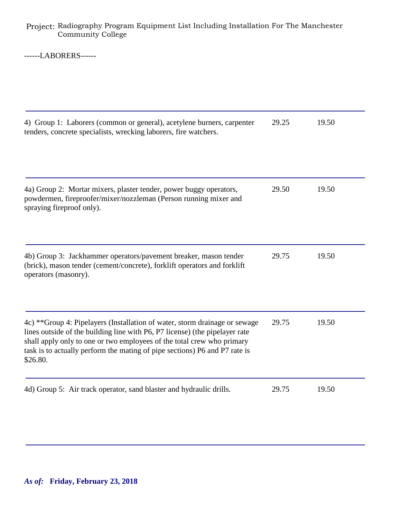------LABORERS------

| 4) Group 1: Laborers (common or general), acetylene burners, carpenter<br>tenders, concrete specialists, wrecking laborers, fire watchers.                                                                                                                                                                                    | 29.25 | 19.50 |
|-------------------------------------------------------------------------------------------------------------------------------------------------------------------------------------------------------------------------------------------------------------------------------------------------------------------------------|-------|-------|
| 4a) Group 2: Mortar mixers, plaster tender, power buggy operators,<br>powdermen, fireproofer/mixer/nozzleman (Person running mixer and<br>spraying fireproof only).                                                                                                                                                           | 29.50 | 19.50 |
| 4b) Group 3: Jackhammer operators/pavement breaker, mason tender<br>(brick), mason tender (cement/concrete), forklift operators and forklift<br>operators (masonry).                                                                                                                                                          | 29.75 | 19.50 |
| 4c) **Group 4: Pipelayers (Installation of water, storm drainage or sewage<br>lines outside of the building line with P6, P7 license) (the pipelayer rate<br>shall apply only to one or two employees of the total crew who primary<br>task is to actually perform the mating of pipe sections) P6 and P7 rate is<br>\$26.80. | 29.75 | 19.50 |
| 4d) Group 5: Air track operator, sand blaster and hydraulic drills.                                                                                                                                                                                                                                                           | 29.75 | 19.50 |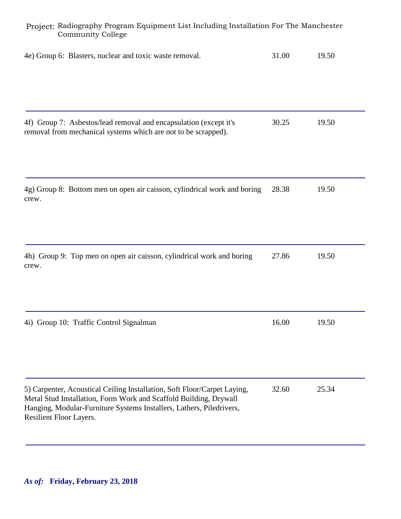| Project: Radiography Program Equipment List Including Installation For The Manchester<br><b>Community College</b>                                                                                                                                |       |       |  |
|--------------------------------------------------------------------------------------------------------------------------------------------------------------------------------------------------------------------------------------------------|-------|-------|--|
| 4e) Group 6: Blasters, nuclear and toxic waste removal.                                                                                                                                                                                          | 31.00 | 19.50 |  |
| 4f) Group 7: Asbestos/lead removal and encapsulation (except it's<br>removal from mechanical systems which are not to be scrapped).                                                                                                              | 30.25 | 19.50 |  |
| 4g) Group 8: Bottom men on open air caisson, cylindrical work and boring<br>crew.                                                                                                                                                                | 28.38 | 19.50 |  |
| 4h) Group 9: Top men on open air caisson, cylindrical work and boring<br>crew.                                                                                                                                                                   | 27.86 | 19.50 |  |
| 4i) Group 10: Traffic Control Signalman                                                                                                                                                                                                          | 16.00 | 19.50 |  |
| 5) Carpenter, Acoustical Ceiling Installation, Soft Floor/Carpet Laying,<br>Metal Stud Installation, Form Work and Scaffold Building, Drywall<br>Hanging, Modular-Furniture Systems Installers, Lathers, Piledrivers,<br>Resilient Floor Layers. | 32.60 | 25.34 |  |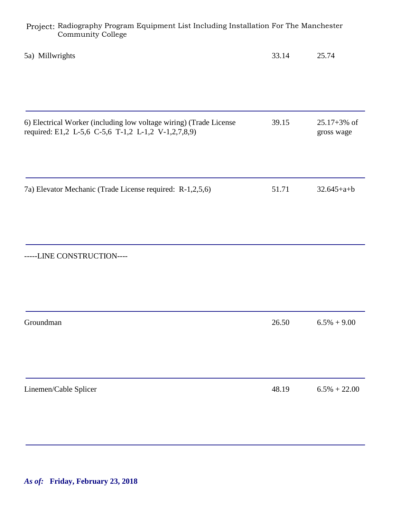| Project: Radiography Program Equipment List Including Installation For The Manchester<br><b>Community College</b>         |       |                                |
|---------------------------------------------------------------------------------------------------------------------------|-------|--------------------------------|
| 5a) Millwrights                                                                                                           | 33.14 | 25.74                          |
| 6) Electrical Worker (including low voltage wiring) (Trade License<br>required: E1,2 L-5,6 C-5,6 T-1,2 L-1,2 V-1,2,7,8,9) | 39.15 | $25.17 + 3\%$ of<br>gross wage |
| 7a) Elevator Mechanic (Trade License required: R-1,2,5,6)                                                                 | 51.71 | $32.645 + a + b$               |
| -----LINE CONSTRUCTION----                                                                                                |       |                                |
| Groundman                                                                                                                 | 26.50 | $6.5\% + 9.00$                 |
|                                                                                                                           |       |                                |
| Linemen/Cable Splicer                                                                                                     | 48.19 | $6.5\% + 22.00$                |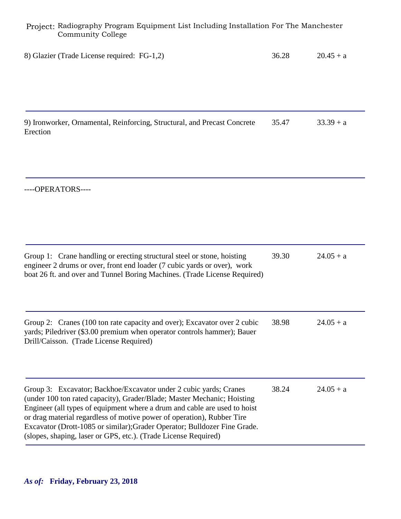| 8) Glazier (Trade License required: FG-1,2)                                                                                                                                                                                                                                                                                                                                                                                                         | 36.28 | $20.45 + a$ |
|-----------------------------------------------------------------------------------------------------------------------------------------------------------------------------------------------------------------------------------------------------------------------------------------------------------------------------------------------------------------------------------------------------------------------------------------------------|-------|-------------|
|                                                                                                                                                                                                                                                                                                                                                                                                                                                     |       |             |
| 9) Ironworker, Ornamental, Reinforcing, Structural, and Precast Concrete<br>Erection                                                                                                                                                                                                                                                                                                                                                                | 35.47 | $33.39 + a$ |
| ----OPERATORS----                                                                                                                                                                                                                                                                                                                                                                                                                                   |       |             |
| Group 1: Crane handling or erecting structural steel or stone, hoisting<br>engineer 2 drums or over, front end loader (7 cubic yards or over), work<br>boat 26 ft. and over and Tunnel Boring Machines. (Trade License Required)                                                                                                                                                                                                                    | 39.30 | $24.05 + a$ |
| Group 2: Cranes (100 ton rate capacity and over); Excavator over 2 cubic<br>yards; Piledriver (\$3.00 premium when operator controls hammer); Bauer<br>Drill/Caisson. (Trade License Required)                                                                                                                                                                                                                                                      | 38.98 | $24.05 + a$ |
| Group 3: Excavator; Backhoe/Excavator under 2 cubic yards; Cranes<br>(under 100 ton rated capacity), Grader/Blade; Master Mechanic; Hoisting<br>Engineer (all types of equipment where a drum and cable are used to hoist<br>or drag material regardless of motive power of operation), Rubber Tire<br>Excavator (Drott-1085 or similar); Grader Operator; Bulldozer Fine Grade.<br>(slopes, shaping, laser or GPS, etc.). (Trade License Required) | 38.24 | $24.05 + a$ |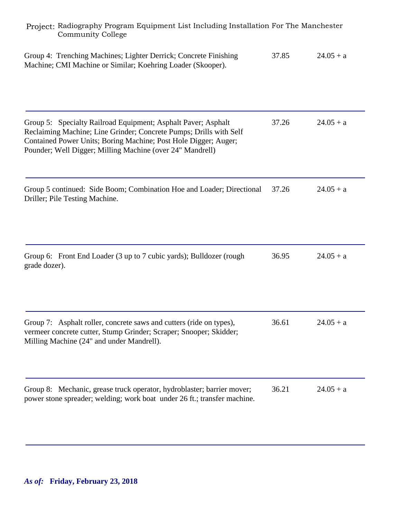| Project: Radiography Program Equipment List Including Installation For The Manchester<br><b>Community College</b>                                                                                                                                                   |       |             |  |  |
|---------------------------------------------------------------------------------------------------------------------------------------------------------------------------------------------------------------------------------------------------------------------|-------|-------------|--|--|
| Group 4: Trenching Machines; Lighter Derrick; Concrete Finishing<br>Machine; CMI Machine or Similar; Koehring Loader (Skooper).                                                                                                                                     | 37.85 | $24.05 + a$ |  |  |
| Group 5: Specialty Railroad Equipment; Asphalt Paver; Asphalt<br>Reclaiming Machine; Line Grinder; Concrete Pumps; Drills with Self<br>Contained Power Units; Boring Machine; Post Hole Digger; Auger;<br>Pounder; Well Digger; Milling Machine (over 24" Mandrell) | 37.26 | $24.05 + a$ |  |  |
| Group 5 continued: Side Boom; Combination Hoe and Loader; Directional<br>Driller; Pile Testing Machine.                                                                                                                                                             | 37.26 | $24.05 + a$ |  |  |
| Group 6: Front End Loader (3 up to 7 cubic yards); Bulldozer (rough<br>grade dozer).                                                                                                                                                                                | 36.95 | $24.05 + a$ |  |  |
| Group 7: Asphalt roller, concrete saws and cutters (ride on types),<br>vermeer concrete cutter, Stump Grinder; Scraper; Snooper; Skidder;<br>Milling Machine (24" and under Mandrell).                                                                              | 36.61 | $24.05 + a$ |  |  |
| Group 8: Mechanic, grease truck operator, hydroblaster; barrier mover;<br>power stone spreader; welding; work boat under 26 ft.; transfer machine.                                                                                                                  | 36.21 | $24.05 + a$ |  |  |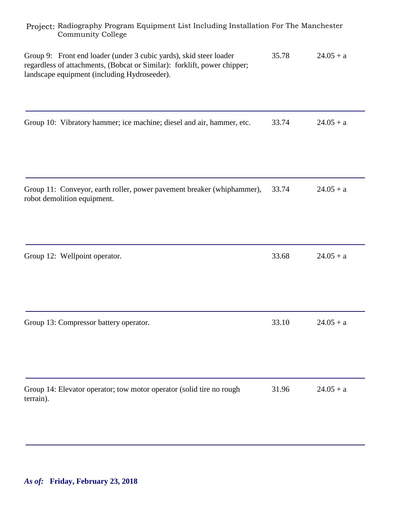| Project: Radiography Program Equipment List Including Installation For The Manchester<br><b>Community College</b>                                                                              |       |             |  |
|------------------------------------------------------------------------------------------------------------------------------------------------------------------------------------------------|-------|-------------|--|
| Group 9: Front end loader (under 3 cubic yards), skid steer loader<br>regardless of attachments, (Bobcat or Similar): forklift, power chipper;<br>landscape equipment (including Hydroseeder). | 35.78 | $24.05 + a$ |  |
| Group 10: Vibratory hammer; ice machine; diesel and air, hammer, etc.                                                                                                                          | 33.74 | $24.05 + a$ |  |
| Group 11: Conveyor, earth roller, power pavement breaker (whiphammer),<br>robot demolition equipment.                                                                                          | 33.74 | $24.05 + a$ |  |
| Group 12: Wellpoint operator.                                                                                                                                                                  | 33.68 | $24.05 + a$ |  |
| Group 13: Compressor battery operator.                                                                                                                                                         | 33.10 | $24.05 + a$ |  |
| Group 14: Elevator operator; tow motor operator (solid tire no rough<br>terrain).                                                                                                              | 31.96 | $24.05 + a$ |  |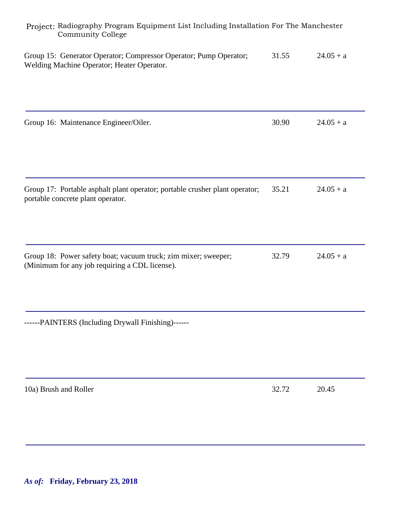| Project: Radiography Program Equipment List Including Installation For The Manchester<br><b>Community College</b> |       |             |  |
|-------------------------------------------------------------------------------------------------------------------|-------|-------------|--|
| Group 15: Generator Operator; Compressor Operator; Pump Operator;<br>Welding Machine Operator; Heater Operator.   | 31.55 | $24.05 + a$ |  |
| Group 16: Maintenance Engineer/Oiler.                                                                             | 30.90 | $24.05 + a$ |  |
| Group 17: Portable asphalt plant operator; portable crusher plant operator;<br>portable concrete plant operator.  | 35.21 | $24.05 + a$ |  |
| Group 18: Power safety boat; vacuum truck; zim mixer; sweeper;<br>(Minimum for any job requiring a CDL license).  | 32.79 | $24.05 + a$ |  |
| ------PAINTERS (Including Drywall Finishing)------                                                                |       |             |  |
| 10a) Brush and Roller                                                                                             | 32.72 | 20.45       |  |
|                                                                                                                   |       |             |  |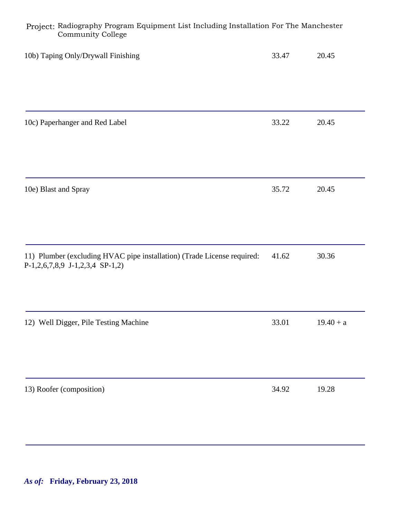| Project: Radiography Program Equipment List Including Installation For The Manchester<br><b>Community College</b>  |       |             |  |
|--------------------------------------------------------------------------------------------------------------------|-------|-------------|--|
| 10b) Taping Only/Drywall Finishing                                                                                 | 33.47 | 20.45       |  |
| 10c) Paperhanger and Red Label                                                                                     | 33.22 | 20.45       |  |
| 10e) Blast and Spray                                                                                               | 35.72 | 20.45       |  |
| 11) Plumber (excluding HVAC pipe installation) (Trade License required:<br>$P-1,2,6,7,8,9$ J $-1,2,3,4$ SP $-1,2)$ | 41.62 | 30.36       |  |
| 12) Well Digger, Pile Testing Machine                                                                              | 33.01 | $19.40 + a$ |  |
| 13) Roofer (composition)                                                                                           | 34.92 | 19.28       |  |

*As of:* **Friday, February 23, 2018**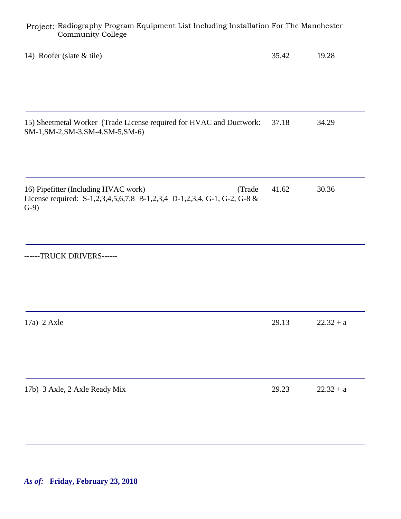| Project: Radiography Program Equipment List Including Installation For The Manchester<br><b>Community College</b>                    |       |             |  |
|--------------------------------------------------------------------------------------------------------------------------------------|-------|-------------|--|
| 14) Roofer (slate & tile)                                                                                                            | 35.42 | 19.28       |  |
| 15) Sheetmetal Worker (Trade License required for HVAC and Ductwork:<br>SM-1, SM-2, SM-3, SM-4, SM-5, SM-6)                          | 37.18 | 34.29       |  |
| 16) Pipefitter (Including HVAC work)<br>(Trade<br>License required: S-1,2,3,4,5,6,7,8 B-1,2,3,4 D-1,2,3,4, G-1, G-2, G-8 &<br>$G-9)$ | 41.62 | 30.36       |  |
| ------TRUCK DRIVERS------                                                                                                            |       |             |  |
| $17a)$ 2 Axle                                                                                                                        | 29.13 | $22.32 + a$ |  |
| 17b) 3 Axle, 2 Axle Ready Mix                                                                                                        | 29.23 | $22.32 + a$ |  |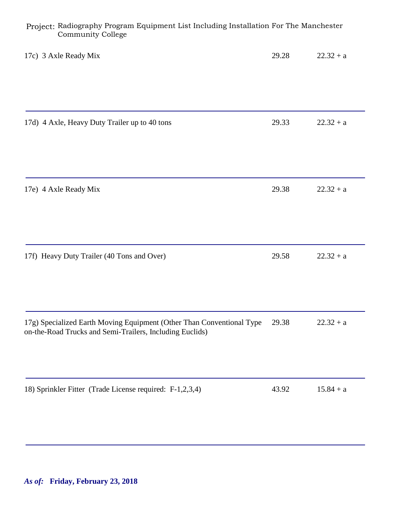| Project: Radiography Program Equipment List including instantion For the Manchester<br><b>Community College</b>                   |       |             |
|-----------------------------------------------------------------------------------------------------------------------------------|-------|-------------|
| 17c) 3 Axle Ready Mix                                                                                                             | 29.28 | $22.32 + a$ |
| 17d) 4 Axle, Heavy Duty Trailer up to 40 tons                                                                                     | 29.33 | $22.32 + a$ |
| 17e) 4 Axle Ready Mix                                                                                                             | 29.38 | $22.32 + a$ |
| 17f) Heavy Duty Trailer (40 Tons and Over)                                                                                        | 29.58 | $22.32 + a$ |
| 17g) Specialized Earth Moving Equipment (Other Than Conventional Type<br>on-the-Road Trucks and Semi-Trailers, Including Euclids) | 29.38 | $22.32 + a$ |
| 18) Sprinkler Fitter (Trade License required: F-1,2,3,4)                                                                          | 43.92 | $15.84 + a$ |
|                                                                                                                                   |       |             |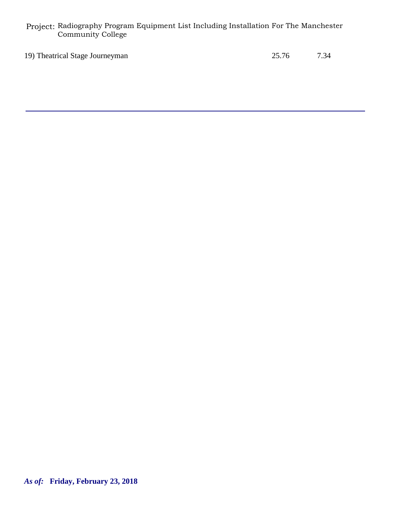19) Theatrical Stage Journeyman 25.76 7.34

*As of:* **Friday, February 23, 2018**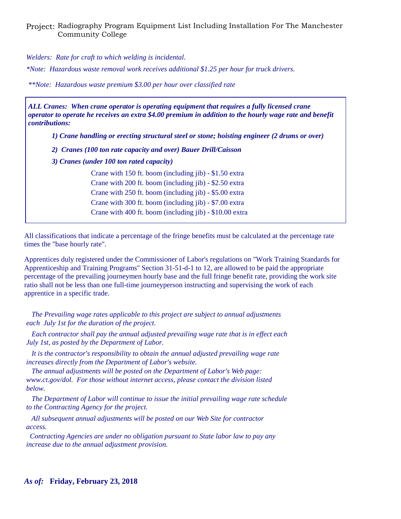*Welders: Rate for craft to which welding is incidental.*

*\*Note: Hazardous waste removal work receives additional \$1.25 per hour for truck drivers.*

*\*\*Note: Hazardous waste premium \$3.00 per hour over classified rate*

*ALL Cranes: When crane operator is operating equipment that requires a fully licensed crane operator to operate he receives an extra \$4.00 premium in addition to the hourly wage rate and benefit contributions:*

*1) Crane handling or erecting structural steel or stone; hoisting engineer (2 drums or over)*

- *2) Cranes (100 ton rate capacity and over) Bauer Drill/Caisson*
- *3) Cranes (under 100 ton rated capacity)*

Crane with 150 ft. boom (including jib) - \$1.50 extra Crane with 200 ft. boom (including jib) - \$2.50 extra Crane with 250 ft. boom (including jib) - \$5.00 extra Crane with 300 ft. boom (including jib) - \$7.00 extra Crane with 400 ft. boom (including jib) - \$10.00 extra

All classifications that indicate a percentage of the fringe benefits must be calculated at the percentage rate times the "base hourly rate".

Apprentices duly registered under the Commissioner of Labor's regulations on "Work Training Standards for Apprenticeship and Training Programs" Section 31-51-d-1 to 12, are allowed to be paid the appropriate percentage of the prevailing journeymen hourly base and the full fringe benefit rate, providing the work site ratio shall not be less than one full-time journeyperson instructing and supervising the work of each apprentice in a specific trade.

 *The Prevailing wage rates applicable to this project are subject to annual adjustments each July 1st for the duration of the project.* 

 *Each contractor shall pay the annual adjusted prevailing wage rate that is in effect each July 1st, as posted by the Department of Labor.* 

 *It is the contractor's responsibility to obtain the annual adjusted prevailing wage rate increases directly from the Department of Labor's website.*

 *The annual adjustments will be posted on the Department of Labor's Web page: www.ct.gov/dol. For those without internet access, please contact the division listed below.*

 *The Department of Labor will continue to issue the initial prevailing wage rate schedule to the Contracting Agency for the project.*

 *All subsequent annual adjustments will be posted on our Web Site for contractor access.* 

 *Contracting Agencies are under no obligation pursuant to State labor law to pay any increase due to the annual adjustment provision.*